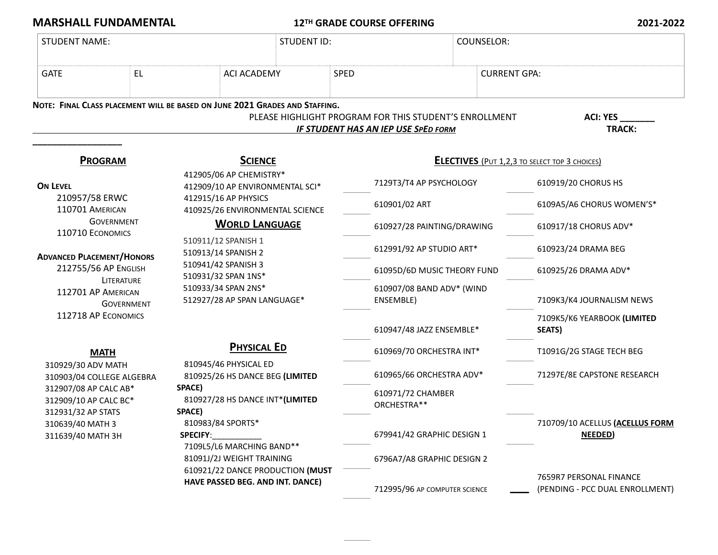**MARSHALL FUNDAMENTAL** 12<sup>TH</sup> GRADE COURSE OFFERING 2021-2022

| <b>STUDENT NAME:</b>                                                                                                                                                            |                                                                                                                                                                        |                                                         | <b>STUDENT ID:</b>                                                                                   |                     | COUNSELOR:                                                 |  |
|---------------------------------------------------------------------------------------------------------------------------------------------------------------------------------|------------------------------------------------------------------------------------------------------------------------------------------------------------------------|---------------------------------------------------------|------------------------------------------------------------------------------------------------------|---------------------|------------------------------------------------------------|--|
| <b>GATE</b><br>EL.                                                                                                                                                              | <b>ACI ACADEMY</b>                                                                                                                                                     |                                                         | SPED                                                                                                 | <b>CURRENT GPA:</b> |                                                            |  |
|                                                                                                                                                                                 | NOTE: FINAL CLASS PLACEMENT WILL BE BASED ON JUNE 2021 GRADES AND STAFFING.                                                                                            |                                                         | PLEASE HIGHLIGHT PROGRAM FOR THIS STUDENT'S ENROLLMENT<br><b>IF STUDENT HAS AN IEP USE SPED FORM</b> |                     | ACI: YES<br><b>TRACK:</b>                                  |  |
| <b>PROGRAM</b>                                                                                                                                                                  |                                                                                                                                                                        | <b>SCIENCE</b>                                          |                                                                                                      |                     | <b>ELECTIVES</b> (PUT 1,2,3 TO SELECT TOP 3 CHOICES)       |  |
| <b>ON LEVEL</b>                                                                                                                                                                 | 412905/06 AP CHEMISTRY*<br>412909/10 AP ENVIRONMENTAL SCI*                                                                                                             |                                                         | 7129T3/T4 AP PSYCHOLOGY                                                                              |                     | 610919/20 CHORUS HS                                        |  |
| 210957/58 ERWC<br>110701 AMERICAN                                                                                                                                               |                                                                                                                                                                        | 412915/16 AP PHYSICS<br>410925/26 ENVIRONMENTAL SCIENCE |                                                                                                      |                     | 6109A5/A6 CHORUS WOMEN'S*                                  |  |
| <b>GOVERNMENT</b>                                                                                                                                                               |                                                                                                                                                                        | <b>WORLD LANGUAGE</b>                                   | 610927/28 PAINTING/DRAWING                                                                           |                     | 610917/18 CHORUS ADV*                                      |  |
| 110710 ECONOMICS<br><b>ADVANCED PLACEMENT/HONORS</b>                                                                                                                            | 510911/12 SPANISH 1<br>510913/14 SPANISH 2                                                                                                                             |                                                         | 612991/92 AP STUDIO ART*                                                                             |                     | 610923/24 DRAMA BEG                                        |  |
| 212755/56 AP ENGLISH                                                                                                                                                            | 510941/42 SPANISH 3<br>510931/32 SPAN 1NS*                                                                                                                             |                                                         | 61095D/6D MUSIC THEORY FUND                                                                          |                     | 610925/26 DRAMA ADV*                                       |  |
| LITERATURE<br>112701 AP AMERICAN<br><b>GOVERNMENT</b>                                                                                                                           | 510933/34 SPAN 2NS*<br>512927/28 AP SPAN LANGUAGE*                                                                                                                     |                                                         | 610907/08 BAND ADV* (WIND<br>ENSEMBLE)                                                               |                     | 7109K3/K4 JOURNALISM NEWS                                  |  |
| 112718 AP ECONOMICS                                                                                                                                                             |                                                                                                                                                                        |                                                         | 610947/48 JAZZ ENSEMBLE*                                                                             |                     | 7109K5/K6 YEARBOOK (LIMITED<br><b>SEATS</b> )              |  |
| <b>MATH</b><br>310929/30 ADV MATH<br>310903/04 COLLEGE ALGEBRA<br>312907/08 AP CALC AB*<br>312909/10 AP CALC BC*<br>312931/32 AP STATS<br>310639/40 MATH 3<br>311639/40 MATH 3H |                                                                                                                                                                        | <b>PHYSICAL ED</b>                                      | 610969/70 ORCHESTRA INT*                                                                             |                     | T1091G/2G STAGE TECH BEG                                   |  |
|                                                                                                                                                                                 | 810945/46 PHYSICAL ED<br>810925/26 HS DANCE BEG (LIMITED                                                                                                               |                                                         | 610965/66 ORCHESTRA ADV*                                                                             |                     | 71297E/8E CAPSTONE RESEARCH                                |  |
|                                                                                                                                                                                 | SPACE)<br>810927/28 HS DANCE INT*(LIMITED<br>SPACE)                                                                                                                    |                                                         | 610971/72 CHAMBER<br>ORCHESTRA**                                                                     |                     |                                                            |  |
|                                                                                                                                                                                 | 810983/84 SPORTS*<br><b>SPECIFY:</b><br>7109L5/L6 MARCHING BAND**<br>81091J/2J WEIGHT TRAINING<br>610921/22 DANCE PRODUCTION (MUST<br>HAVE PASSED BEG. AND INT. DANCE) |                                                         | 679941/42 GRAPHIC DESIGN 1                                                                           |                     | 710709/10 ACELLUS (ACELLUS FORM<br><b>NEEDED</b> )         |  |
|                                                                                                                                                                                 |                                                                                                                                                                        |                                                         | 6796A7/A8 GRAPHIC DESIGN 2                                                                           |                     |                                                            |  |
|                                                                                                                                                                                 |                                                                                                                                                                        |                                                         | 712995/96 AP COMPUTER SCIENCE                                                                        |                     | 7659R7 PERSONAL FINANCE<br>(PENDING - PCC DUAL ENROLLMENT) |  |